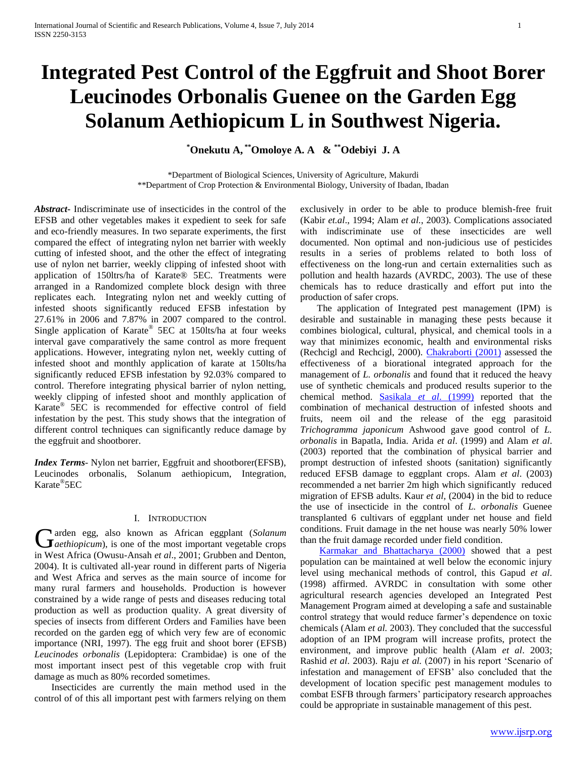# **Integrated Pest Control of the Eggfruit and Shoot Borer Leucinodes Orbonalis Guenee on the Garden Egg Solanum Aethiopicum L in Southwest Nigeria.**

**\*Onekutu A, \*\*Omoloye A. A & \*\*Odebiyi J. A**

\*Department of Biological Sciences, University of Agriculture, Makurdi \*\*Department of Crop Protection & Environmental Biology, University of Ibadan, Ibadan

*Abstract***-** Indiscriminate use of insecticides in the control of the EFSB and other vegetables makes it expedient to seek for safe and eco-friendly measures. In two separate experiments, the first compared the effect of integrating nylon net barrier with weekly cutting of infested shoot, and the other the effect of integrating use of nylon net barrier, weekly clipping of infested shoot with application of 150ltrs/ha of Karate® 5EC. Treatments were arranged in a Randomized complete block design with three replicates each. Integrating nylon net and weekly cutting of infested shoots significantly reduced EFSB infestation by 27.61% in 2006 and 7.87% in 2007 compared to the control. Single application of Karate® 5EC at 150lts/ha at four weeks interval gave comparatively the same control as more frequent applications. However, integrating nylon net, weekly cutting of infested shoot and monthly application of karate at 150lts/ha significantly reduced EFSB infestation by 92.03% compared to control. Therefore integrating physical barrier of nylon netting, weekly clipping of infested shoot and monthly application of Karate® 5EC is recommended for effective control of field infestation by the pest. This study shows that the integration of different control techniques can significantly reduce damage by the eggfruit and shootborer.

*Index Terms*- Nylon net barrier, Eggfruit and shootborer(EFSB), Leucinodes orbonalis, Solanum aethiopicum, Integration, Karate® 5EC

## I. INTRODUCTION

arden egg, also known as African eggplant (*Solanum*  **G**arden egg, also known as African eggplant (Solanum at aethiopicum), is one of the most important vegetable crops in West Africa (Owusu-Ansah *et al*., 2001; Grubben and Denton, 2004). It is cultivated all-year round in different parts of Nigeria and West Africa and serves as the main source of income for many rural farmers and households. Production is however constrained by a wide range of pests and diseases reducing total production as well as production quality. A great diversity of species of insects from different Orders and Families have been recorded on the garden egg of which very few are of economic importance (NRI, 1997). The egg fruit and shoot borer (EFSB) *Leucinodes orbonalis* (Lepidoptera: Crambidae) is one of the most important insect pest of this vegetable crop with fruit damage as much as 80% recorded sometimes.

 Insecticides are currently the main method used in the control of of this all important pest with farmers relying on them

exclusively in order to be able to produce blemish-free fruit (Kabir *et.al*., 1994; Alam *et al.*, 2003). Complications associated with indiscriminate use of these insecticides are well documented. Non optimal and non-judicious use of pesticides results in a series of problems related to both loss of effectiveness on the long-run and certain externalities such as pollution and health hazards (AVRDC, 2003). The use of these chemicals has to reduce drastically and effort put into the production of safer crops.

 The application of Integrated pest management (IPM) is desirable and sustainable in managing these pests because it combines biological, cultural, physical, and chemical tools in a way that minimizes economic, health and environmental risks (Rechcigl and Rechcigl, 2000). [Chakraborti \(2001\)](file:///C:/Documents%20and%20Settings/nnpc/My%20Documents/RefPtr=0DPmC) assessed the effectiveness of a biorational integrated approach for the management of *L. orbonalis* and found that it reduced the heavy use of synthetic chemicals and produced results superior to the chemical method. [Sasikala](file:///C:/Documents%20and%20Settings/nnpc/My%20Documents/RefPtr=05B2X) *et al*. (1999) reported that the combination of mechanical destruction of infested shoots and fruits, neem oil and the release of the egg parasitoid *Trichogramma japonicum* Ashwood gave good control of *L. orbonalis* in Bapatla, India. Arida *et al*. (1999) and Alam *et al*. (2003) reported that the combination of physical barrier and prompt destruction of infested shoots (sanitation) significantly reduced EFSB damage to eggplant crops. Alam *et al*. (2003) recommended a net barrier 2m high which significantly reduced migration of EFSB adults. Kaur *et al,* (2004) in the bid to reduce the use of insecticide in the control of *L. orbonalis* Guenee transplanted 6 cultivars of eggplant under net house and field conditions. Fruit damage in the net house was nearly 50% lower than the fruit damage recorded under field condition.

 [Karmakar and Bhattacharya \(2000\)](file:///C:/Documents%20and%20Settings/nnpc/My%20Documents/RefPtr=052r8) showed that a pest population can be maintained at well below the economic injury level using mechanical methods of control, this Gapud *et al*. (1998) affirmed. AVRDC in consultation with some other agricultural research agencies developed an Integrated Pest Management Program aimed at developing a safe and sustainable control strategy that would reduce farmer's dependence on toxic chemicals (Alam *et al.* 2003). They concluded that the successful adoption of an IPM program will increase profits, protect the environment, and improve public health (Alam *et al*. 2003; Rashid *et al*. 2003). Raju *et al.* (2007) in his report 'Scenario of infestation and management of EFSB' also concluded that the development of location specific pest management modules to combat ESFB through farmers' participatory research approaches could be appropriate in sustainable management of this pest.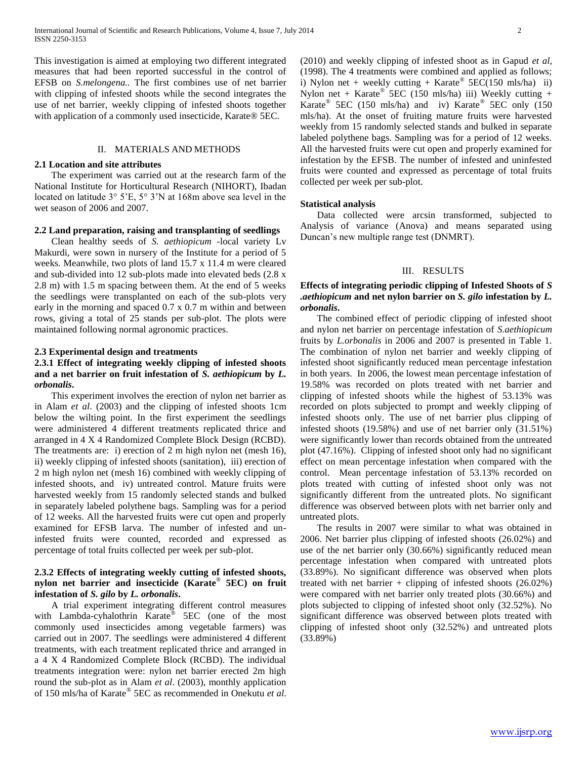This investigation is aimed at employing two different integrated measures that had been reported successful in the control of EFSB on *S.melongena..* The first combines use of net barrier with clipping of infested shoots while the second integrates the use of net barrier, weekly clipping of infested shoots together with application of a commonly used insecticide, Karate® 5EC.

## II. MATERIALS AND METHODS

#### **2.1 Location and site attributes**

 The experiment was carried out at the research farm of the National Institute for Horticultural Research (NIHORT), Ibadan located on latitude 3° 5'E, 5° 3'N at 168m above sea level in the wet season of 2006 and 2007.

# **2.2 Land preparation, raising and transplanting of seedlings**

 Clean healthy seeds of *S. aethiopicum -*local variety Lv Makurdi, were sown in nursery of the Institute for a period of 5 weeks. Meanwhile, two plots of land 15.7 x 11.4 m were cleared and sub-divided into 12 sub-plots made into elevated beds (2.8 x 2.8 m) with 1.5 m spacing between them. At the end of 5 weeks the seedlings were transplanted on each of the sub-plots very early in the morning and spaced 0.7 x 0.7 m within and between rows, giving a total of 25 stands per sub-plot. The plots were maintained following normal agronomic practices.

#### **2.3 Experimental design and treatments**

## **2.3.1 Effect of integrating weekly clipping of infested shoots and a net barrier on fruit infestation of** *S. aethiopicum* **by** *L. orbonalis***.**

 This experiment involves the erection of nylon net barrier as in Alam *et al*. (2003) and the clipping of infested shoots 1cm below the wilting point. In the first experiment the seedlings were administered 4 different treatments replicated thrice and arranged in 4 X 4 Randomized Complete Block Design (RCBD). The treatments are: i) erection of 2 m high nylon net (mesh 16), ii) weekly clipping of infested shoots (sanitation), iii) erection of 2 m high nylon net (mesh 16) combined with weekly clipping of infested shoots, and iv) untreated control. Mature fruits were harvested weekly from 15 randomly selected stands and bulked in separately labeled polythene bags. Sampling was for a period of 12 weeks. All the harvested fruits were cut open and properly examined for EFSB larva. The number of infested and uninfested fruits were counted, recorded and expressed as percentage of total fruits collected per week per sub-plot.

## **2.3.2 Effects of integrating weekly cutting of infested shoots, nylon net barrier and insecticide (Karate**® **5EC) on fruit infestation of** *S. gilo* **by** *L. orbonalis***.**

 A trial experiment integrating different control measures with Lambda-cyhalothrin Karate<sup>®</sup> 5EC (one of the most commonly used insecticides among vegetable farmers) was carried out in 2007. The seedlings were administered 4 different treatments, with each treatment replicated thrice and arranged in a 4 X 4 Randomized Complete Block (RCBD). The individual treatments integration were: nylon net barrier erected 2m high round the sub-plot as in Alam *et al*. (2003), monthly application of 150 mls/ha of Karate® 5EC as recommended in Onekutu *et al*. (2010) and weekly clipping of infested shoot as in Gapud *et al,* (1998). The 4 treatments were combined and applied as follows; i) Nylon net + weekly cutting + Karate<sup>®</sup>  $5EC(150 \text{ mls/ha})$  ii) Nylon net + Karate<sup>®</sup> 5EC (150 mls/ha) iii) Weekly cutting + Karate® 5EC (150 mls/ha) and iv) Karate® 5EC only (150 mls/ha). At the onset of fruiting mature fruits were harvested weekly from 15 randomly selected stands and bulked in separate labeled polythene bags. Sampling was for a period of 12 weeks. All the harvested fruits were cut open and properly examined for infestation by the EFSB. The number of infested and uninfested

#### **Statistical analysis**

collected per week per sub-plot.

 Data collected were arcsin transformed, subjected to Analysis of variance (Anova) and means separated using Duncan's new multiple range test (DNMRT).

fruits were counted and expressed as percentage of total fruits

#### III. RESULTS

## **Effects of integrating periodic clipping of Infested Shoots of** *S .aethiopicum* **and net nylon barrier on** *S. gilo* **infestation by** *L. orbonalis***.**

 The combined effect of periodic clipping of infested shoot and nylon net barrier on percentage infestation of *S.aethiopicum* fruits by *L.orbonalis* in 2006 and 2007 is presented in Table 1. The combination of nylon net barrier and weekly clipping of infested shoot significantly reduced mean percentage infestation in both years. In 2006, the lowest mean percentage infestation of 19.58% was recorded on plots treated with net barrier and clipping of infested shoots while the highest of 53.13% was recorded on plots subjected to prompt and weekly clipping of infested shoots only. The use of net barrier plus clipping of infested shoots (19.58%) and use of net barrier only (31.51%) were significantly lower than records obtained from the untreated plot (47.16%). Clipping of infested shoot only had no significant effect on mean percentage infestation when compared with the control. Mean percentage infestation of 53.13% recorded on plots treated with cutting of infested shoot only was not significantly different from the untreated plots. No significant difference was observed between plots with net barrier only and untreated plots.

 The results in 2007 were similar to what was obtained in 2006. Net barrier plus clipping of infested shoots (26.02%) and use of the net barrier only (30.66%) significantly reduced mean percentage infestation when compared with untreated plots (33.89%). No significant difference was observed when plots treated with net barrier  $+$  clipping of infested shoots  $(26.02\%)$ were compared with net barrier only treated plots (30.66%) and plots subjected to clipping of infested shoot only (32.52%). No significant difference was observed between plots treated with clipping of infested shoot only (32.52%) and untreated plots (33.89%)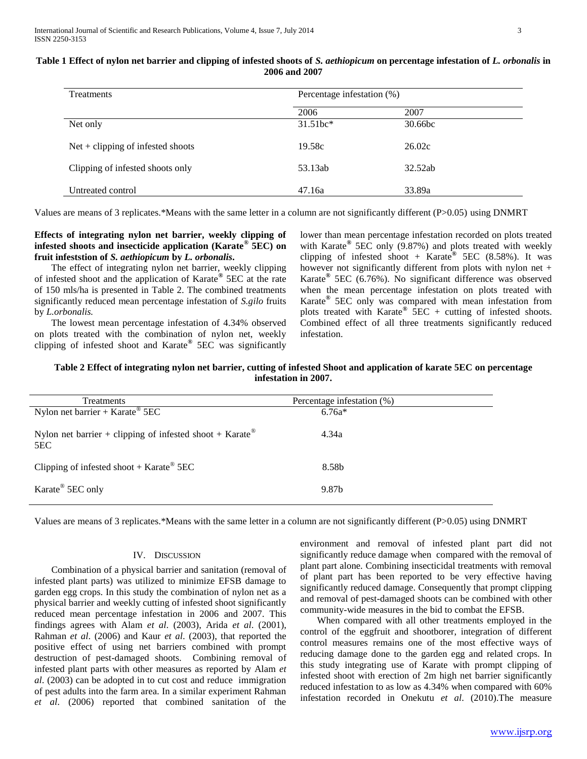| <b>Treatments</b>                   | Percentage infestation (%) |         |  |
|-------------------------------------|----------------------------|---------|--|
|                                     | 2006                       | 2007    |  |
| Net only                            | $31.51$ hc <sup>*</sup>    | 30.66bc |  |
| $Net + clipping of infected shoots$ | 19.58c                     | 26.02c  |  |
| Clipping of infested shoots only    | 53.13ab                    | 32.52ab |  |
| Untreated control                   | 47.16a                     | 33.89a  |  |

#### **Table 1 Effect of nylon net barrier and clipping of infested shoots of** *S. aethiopicum* **on percentage infestation of** *L. orbonalis* **in 2006 and 2007**

Values are means of 3 replicates.\*Means with the same letter in a column are not significantly different (P>0.05) using DNMRT

## **Effects of integrating nylon net barrier, weekly clipping of infested shoots and insecticide application (Karate® 5EC) on fruit infeststion of** *S. aethiopicum* **by** *L. orbonalis***.**

 The effect of integrating nylon net barrier, weekly clipping of infested shoot and the application of Karate**®** 5EC at the rate of 150 mls/ha is presented in Table 2. The combined treatments significantly reduced mean percentage infestation of *S.gilo* fruits by *L.orbonalis.*

 The lowest mean percentage infestation of 4.34% observed on plots treated with the combination of nylon net, weekly clipping of infested shoot and Karate**®** 5EC was significantly lower than mean percentage infestation recorded on plots treated with Karate**®** 5EC only (9.87%) and plots treated with weekly clipping of infested shoot + Karate**®** 5EC (8.58%). It was however not significantly different from plots with nylon net  $+$ Karate**®** 5EC (6.76%). No significant difference was observed when the mean percentage infestation on plots treated with Karate**®** 5EC only was compared with mean infestation from plots treated with Karate**®** 5EC + cutting of infested shoots. Combined effect of all three treatments significantly reduced infestation.

## **Table 2 Effect of integrating nylon net barrier, cutting of infested Shoot and application of karate 5EC on percentage infestation in 2007.**

| Treatments                                                     | Percentage infestation (%) |
|----------------------------------------------------------------|----------------------------|
| Nylon net barrier + Karate <sup>®</sup> 5EC                    | $6.76a*$                   |
| Nylon net barrier + clipping of infested shoot + Karate<br>5EC | 4.34a                      |
| Clipping of infested shoot + Karate $\mathscr{B}$ 5EC          | 8.58b                      |
| Karate <sup>®</sup> 5EC only                                   | 9.87b                      |

Values are means of 3 replicates.\*Means with the same letter in a column are not significantly different (P>0.05) using DNMRT

## IV. DISCUSSION

 Combination of a physical barrier and sanitation (removal of infested plant parts) was utilized to minimize EFSB damage to garden egg crops. In this study the combination of nylon net as a physical barrier and weekly cutting of infested shoot significantly reduced mean percentage infestation in 2006 and 2007. This findings agrees with Alam *et al*. (2003), Arida *et al*. (2001), Rahman *et al*. (2006) and Kaur *et al*. (2003), that reported the positive effect of using net barriers combined with prompt destruction of pest-damaged shoots. Combining removal of infested plant parts with other measures as reported by Alam *et al*. (2003) can be adopted in to cut cost and reduce immigration of pest adults into the farm area. In a similar experiment Rahman *et al*. (2006) reported that combined sanitation of the

environment and removal of infested plant part did not significantly reduce damage when compared with the removal of plant part alone. Combining insecticidal treatments with removal of plant part has been reported to be very effective having significantly reduced damage. Consequently that prompt clipping and removal of pest-damaged shoots can be combined with other community-wide measures in the bid to combat the EFSB.

 When compared with all other treatments employed in the control of the eggfruit and shootborer, integration of different control measures remains one of the most effective ways of reducing damage done to the garden egg and related crops. In this study integrating use of Karate with prompt clipping of infested shoot with erection of 2m high net barrier significantly reduced infestation to as low as 4.34% when compared with 60% infestation recorded in Onekutu *et al*. (2010).The measure